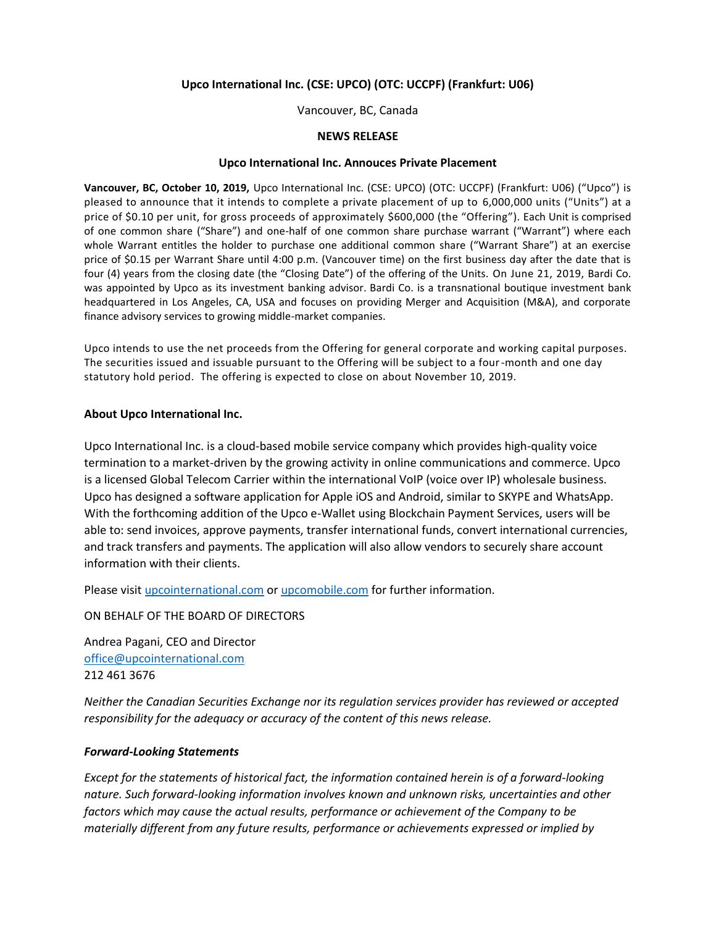# **Upco International Inc. (CSE: UPCO) (OTC: UCCPF) (Frankfurt: U06)**

Vancouver, BC, Canada

## **NEWS RELEASE**

### **Upco International Inc. Annouces Private Placement**

**Vancouver, BC, October 10, 2019,** Upco International Inc. (CSE: UPCO) (OTC: UCCPF) (Frankfurt: U06) ("Upco") is pleased to announce that it intends to complete a private placement of up to 6,000,000 units ("Units") at a price of \$0.10 per unit, for gross proceeds of approximately \$600,000 (the "Offering"). Each Unit is comprised of one common share ("Share") and one-half of one common share purchase warrant ("Warrant") where each whole Warrant entitles the holder to purchase one additional common share ("Warrant Share") at an exercise price of \$0.15 per Warrant Share until 4:00 p.m. (Vancouver time) on the first business day after the date that is four (4) years from the closing date (the "Closing Date") of the offering of the Units. On June 21, 2019, Bardi Co. was appointed by Upco as its investment banking advisor. Bardi Co. is a transnational boutique investment bank headquartered in Los Angeles, CA, USA and focuses on providing Merger and Acquisition (M&A), and corporate finance advisory services to growing middle-market companies.

Upco intends to use the net proceeds from the Offering for general corporate and working capital purposes. The securities issued and issuable pursuant to the Offering will be subject to a four-month and one day statutory hold period. The offering is expected to close on about November 10, 2019.

## **About Upco International Inc.**

Upco International Inc. is a cloud-based mobile service company which provides high-quality voice termination to a market-driven by the growing activity in online communications and commerce. Upco is a licensed Global Telecom Carrier within the international VoIP (voice over IP) wholesale business. Upco has designed a software application for Apple iOS and Android, similar to SKYPE and WhatsApp. With the forthcoming addition of the Upco e-Wallet using Blockchain Payment Services, users will be able to: send invoices, approve payments, transfer international funds, convert international currencies, and track transfers and payments. The application will also allow vendors to securely share account information with their clients.

Please visi[t upcointernational.com](http://upcointernational.com/) o[r upcomobile.com](http://upcomobile.com/) for further information.

ON BEHALF OF THE BOARD OF DIRECTORS

Andrea Pagani, CEO and Director [office@upcointernational.com](mailto:office@upcointernational.com) 212 461 3676

*Neither the Canadian Securities Exchange nor its regulation services provider has reviewed or accepted responsibility for the adequacy or accuracy of the content of this news release.*

# *Forward-Looking Statements*

*Except for the statements of historical fact, the information contained herein is of a forward-looking nature. Such forward-looking information involves known and unknown risks, uncertainties and other factors which may cause the actual results, performance or achievement of the Company to be materially different from any future results, performance or achievements expressed or implied by*